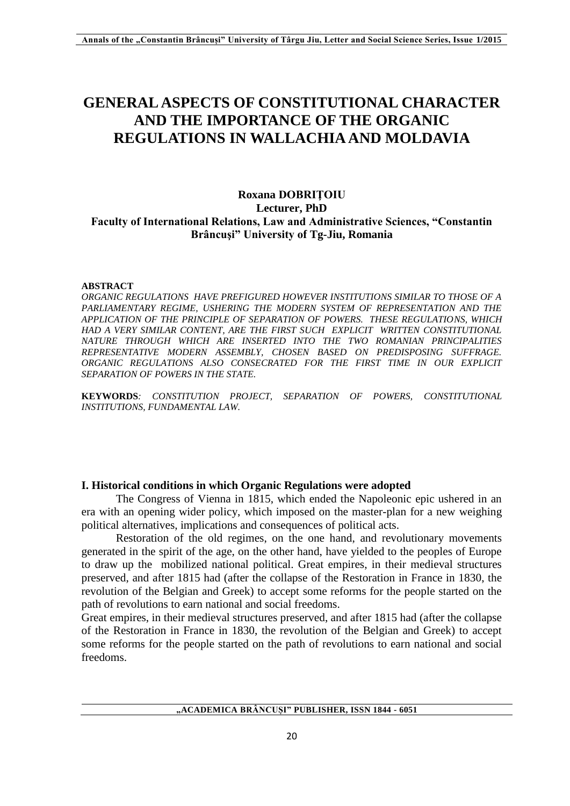# **GENERAL ASPECTS OF CONSTITUTIONAL CHARACTER AND THE IMPORTANCE OF THE ORGANIC REGULATIONS IN WALLACHIA AND MOLDAVIA**

## **Roxana DOBRIŢOIU Lecturer, PhD Faculty of International Relations, Law and Administrative Sciences, "Constantin Brâncuşi" University of Tg-Jiu, Romania**

#### **ABSTRACT**

*ORGANIC REGULATIONS HAVE PREFIGURED HOWEVER INSTITUTIONS SIMILAR TO THOSE OF A PARLIAMENTARY REGIME, USHERING THE MODERN SYSTEM OF REPRESENTATION AND THE APPLICATION OF THE PRINCIPLE OF SEPARATION OF POWERS. THESE REGULATIONS, WHICH HAD A VERY SIMILAR CONTENT, ARE THE FIRST SUCH EXPLICIT WRITTEN CONSTITUTIONAL NATURE THROUGH WHICH ARE INSERTED INTO THE TWO ROMANIAN PRINCIPALITIES REPRESENTATIVE MODERN ASSEMBLY, CHOSEN BASED ON PREDISPOSING SUFFRAGE. ORGANIC REGULATIONS ALSO CONSECRATED FOR THE FIRST TIME IN OUR EXPLICIT SEPARATION OF POWERS IN THE STATE.*

**KEYWORDS***: CONSTITUTION PROJECT, SEPARATION OF POWERS, CONSTITUTIONAL INSTITUTIONS, FUNDAMENTAL LAW.*

#### **I. Historical conditions in which Organic Regulations were adopted**

The Congress of Vienna in 1815, which ended the Napoleonic epic ushered in an era with an opening wider policy, which imposed on the master-plan for a new weighing political alternatives, implications and consequences of political acts.

Restoration of the old regimes, on the one hand, and revolutionary movements generated in the spirit of the age, on the other hand, have yielded to the peoples of Europe to draw up the mobilized national political. Great empires, in their medieval structures preserved, and after 1815 had (after the collapse of the Restoration in France in 1830, the revolution of the Belgian and Greek) to accept some reforms for the people started on the path of revolutions to earn national and social freedoms.

Great empires, in their medieval structures preserved, and after 1815 had (after the collapse of the Restoration in France in 1830, the revolution of the Belgian and Greek) to accept some reforms for the people started on the path of revolutions to earn national and social freedoms.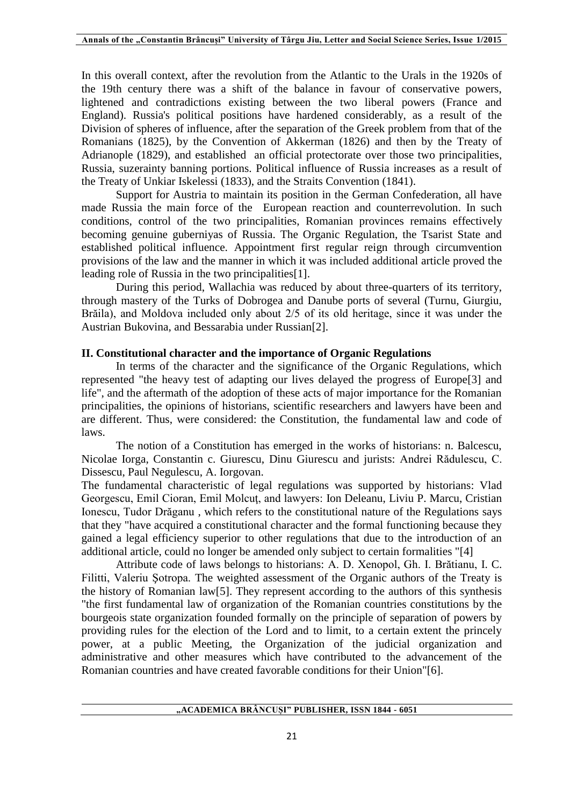In this overall context, after the revolution from the Atlantic to the Urals in the 1920s of the 19th century there was a shift of the balance in favour of conservative powers, lightened and contradictions existing between the two liberal powers (France and England). Russia's political positions have hardened considerably, as a result of the Division of spheres of influence, after the separation of the Greek problem from that of the Romanians (1825), by the Convention of Akkerman (1826) and then by the Treaty of Adrianople (1829), and established an official protectorate over those two principalities, Russia, suzerainty banning portions. Political influence of Russia increases as a result of the Treaty of Unkiar Iskelessi (1833), and the Straits Convention (1841).

Support for Austria to maintain its position in the German Confederation, all have made Russia the main force of the European reaction and counterrevolution. In such conditions, control of the two principalities, Romanian provinces remains effectively becoming genuine guberniyas of Russia. The Organic Regulation, the Tsarist State and established political influence. Appointment first regular reign through circumvention provisions of the law and the manner in which it was included additional article proved the leading role of Russia in the two principalities[1].

During this period, Wallachia was reduced by about three-quarters of its territory, through mastery of the Turks of Dobrogea and Danube ports of several (Turnu, Giurgiu, Brăila), and Moldova included only about 2/5 of its old heritage, since it was under the Austrian Bukovina, and Bessarabia under Russian[2].

### **II. Constitutional character and the importance of Organic Regulations**

In terms of the character and the significance of the Organic Regulations, which represented "the heavy test of adapting our lives delayed the progress of Europe[3] and life", and the aftermath of the adoption of these acts of major importance for the Romanian principalities, the opinions of historians, scientific researchers and lawyers have been and are different. Thus, were considered: the Constitution, the fundamental law and code of laws.

The notion of a Constitution has emerged in the works of historians: n. Balcescu, Nicolae Iorga, Constantin c. Giurescu, Dinu Giurescu and jurists: Andrei Rădulescu, C. Dissescu, Paul Negulescu, A. Iorgovan.

The fundamental characteristic of legal regulations was supported by historians: Vlad Georgescu, Emil Cioran, Emil Molcuţ, and lawyers: Ion Deleanu, Liviu P. Marcu, Cristian Ionescu, Tudor Drăganu , which refers to the constitutional nature of the Regulations says that they "have acquired a constitutional character and the formal functioning because they gained a legal efficiency superior to other regulations that due to the introduction of an additional article, could no longer be amended only subject to certain formalities "[4]

Attribute code of laws belongs to historians: A. D. Xenopol, Gh. I. Brătianu, I. C. Filitti, Valeriu Şotropa. The weighted assessment of the Organic authors of the Treaty is the history of Romanian law[5]. They represent according to the authors of this synthesis "the first fundamental law of organization of the Romanian countries constitutions by the bourgeois state organization founded formally on the principle of separation of powers by providing rules for the election of the Lord and to limit, to a certain extent the princely power, at a public Meeting, the Organization of the judicial organization and administrative and other measures which have contributed to the advancement of the Romanian countries and have created favorable conditions for their Union"[6].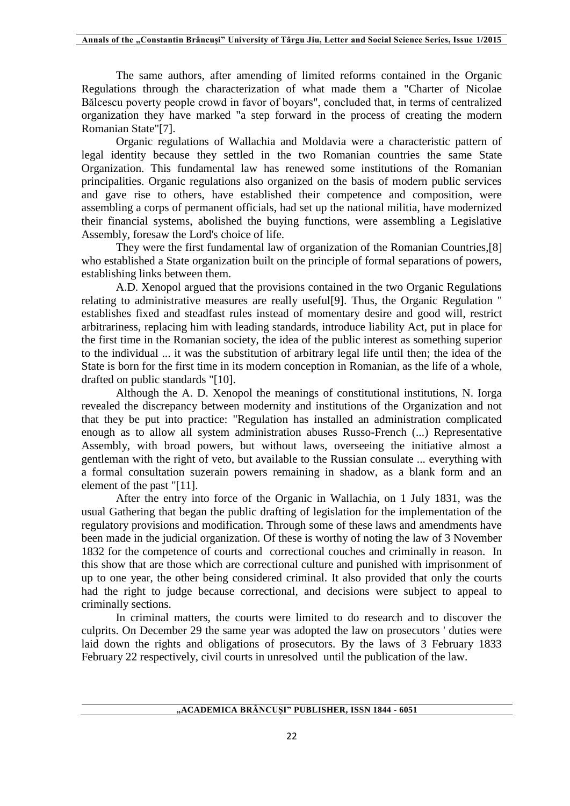The same authors, after amending of limited reforms contained in the Organic Regulations through the characterization of what made them a "Charter of Nicolae Bălcescu poverty people crowd in favor of boyars", concluded that, in terms of centralized organization they have marked "a step forward in the process of creating the modern Romanian State"[7].

Organic regulations of Wallachia and Moldavia were a characteristic pattern of legal identity because they settled in the two Romanian countries the same State Organization. This fundamental law has renewed some institutions of the Romanian principalities. Organic regulations also organized on the basis of modern public services and gave rise to others, have established their competence and composition, were assembling a corps of permanent officials, had set up the national militia, have modernized their financial systems, abolished the buying functions, were assembling a Legislative Assembly, foresaw the Lord's choice of life.

They were the first fundamental law of organization of the Romanian Countries,[8] who established a State organization built on the principle of formal separations of powers, establishing links between them.

A.D. Xenopol argued that the provisions contained in the two Organic Regulations relating to administrative measures are really useful[9]. Thus, the Organic Regulation " establishes fixed and steadfast rules instead of momentary desire and good will, restrict arbitrariness, replacing him with leading standards, introduce liability Act, put in place for the first time in the Romanian society, the idea of the public interest as something superior to the individual ... it was the substitution of arbitrary legal life until then; the idea of the State is born for the first time in its modern conception in Romanian, as the life of a whole, drafted on public standards "[10].

Although the A. D. Xenopol the meanings of constitutional institutions, N. Iorga revealed the discrepancy between modernity and institutions of the Organization and not that they be put into practice: "Regulation has installed an administration complicated enough as to allow all system administration abuses Russo-French (...) Representative Assembly, with broad powers, but without laws, overseeing the initiative almost a gentleman with the right of veto, but available to the Russian consulate ... everything with a formal consultation suzerain powers remaining in shadow, as a blank form and an element of the past "[11].

After the entry into force of the Organic in Wallachia, on 1 July 1831, was the usual Gathering that began the public drafting of legislation for the implementation of the regulatory provisions and modification. Through some of these laws and amendments have been made in the judicial organization. Of these is worthy of noting the law of 3 November 1832 for the competence of courts and correctional couches and criminally in reason. In this show that are those which are correctional culture and punished with imprisonment of up to one year, the other being considered criminal. It also provided that only the courts had the right to judge because correctional, and decisions were subject to appeal to criminally sections.

In criminal matters, the courts were limited to do research and to discover the culprits. On December 29 the same year was adopted the law on prosecutors ' duties were laid down the rights and obligations of prosecutors. By the laws of 3 February 1833 February 22 respectively, civil courts in unresolved until the publication of the law.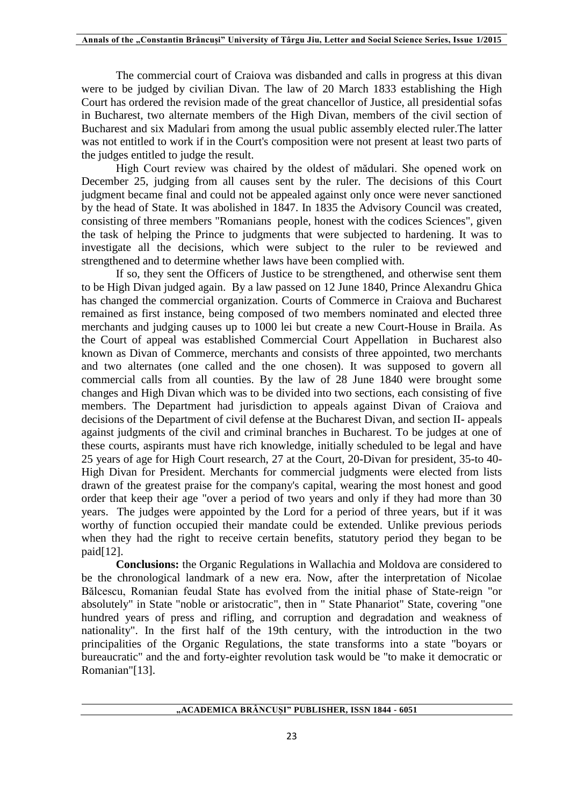The commercial court of Craiova was disbanded and calls in progress at this divan were to be judged by civilian Divan. The law of 20 March 1833 establishing the High Court has ordered the revision made of the great chancellor of Justice, all presidential sofas in Bucharest, two alternate members of the High Divan, members of the civil section of Bucharest and six Madulari from among the usual public assembly elected ruler.The latter was not entitled to work if in the Court's composition were not present at least two parts of the judges entitled to judge the result.

High Court review was chaired by the oldest of mădulari. She opened work on December 25, judging from all causes sent by the ruler. The decisions of this Court judgment became final and could not be appealed against only once were never sanctioned by the head of State. It was abolished in 1847. In 1835 the Advisory Council was created, consisting of three members "Romanians people, honest with the codices Sciences", given the task of helping the Prince to judgments that were subjected to hardening. It was to investigate all the decisions, which were subject to the ruler to be reviewed and strengthened and to determine whether laws have been complied with.

If so, they sent the Officers of Justice to be strengthened, and otherwise sent them to be High Divan judged again. By a law passed on 12 June 1840, Prince Alexandru Ghica has changed the commercial organization. Courts of Commerce in Craiova and Bucharest remained as first instance, being composed of two members nominated and elected three merchants and judging causes up to 1000 lei but create a new Court-House in Braila. As the Court of appeal was established Commercial Court Appellation in Bucharest also known as Divan of Commerce, merchants and consists of three appointed, two merchants and two alternates (one called and the one chosen). It was supposed to govern all commercial calls from all counties. By the law of 28 June 1840 were brought some changes and High Divan which was to be divided into two sections, each consisting of five members. The Department had jurisdiction to appeals against Divan of Craiova and decisions of the Department of civil defense at the Bucharest Divan, and section II- appeals against judgments of the civil and criminal branches in Bucharest. To be judges at one of these courts, aspirants must have rich knowledge, initially scheduled to be legal and have 25 years of age for High Court research, 27 at the Court, 20-Divan for president, 35-to 40- High Divan for President. Merchants for commercial judgments were elected from lists drawn of the greatest praise for the company's capital, wearing the most honest and good order that keep their age "over a period of two years and only if they had more than 30 years. The judges were appointed by the Lord for a period of three years, but if it was worthy of function occupied their mandate could be extended. Unlike previous periods when they had the right to receive certain benefits, statutory period they began to be  $paid[12]$ .

**Conclusions:** the Organic Regulations in Wallachia and Moldova are considered to be the chronological landmark of a new era. Now, after the interpretation of Nicolae Bălcescu, Romanian feudal State has evolved from the initial phase of State-reign "or absolutely" in State "noble or aristocratic", then in " State Phanariot" State, covering "one hundred years of press and rifling, and corruption and degradation and weakness of nationality". In the first half of the 19th century, with the introduction in the two principalities of the Organic Regulations, the state transforms into a state "boyars or bureaucratic" and the and forty-eighter revolution task would be "to make it democratic or Romanian"[13].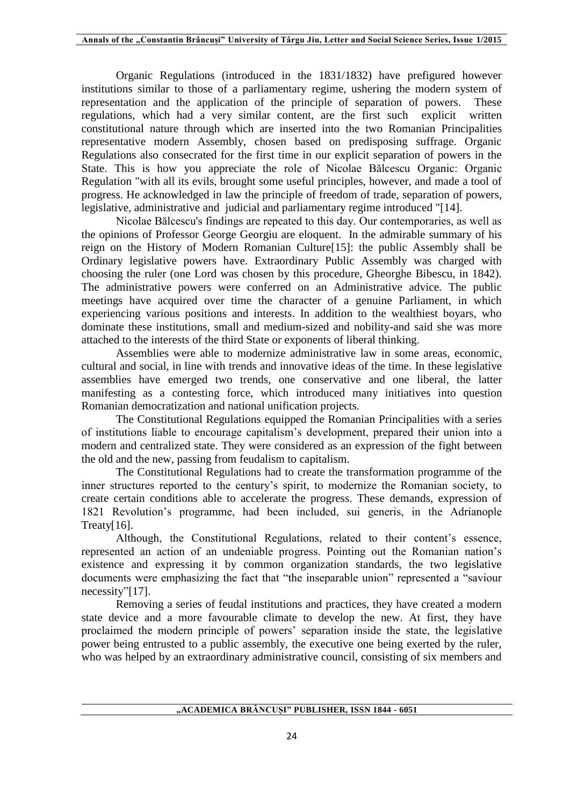Organic Regulations (introduced in the 1831/1832) have prefigured however institutions similar to those of a parliamentary regime, ushering the modern system of representation and the application of the principle of separation of powers. These regulations, which had a very similar content, are the first such explicit written constitutional nature through which are inserted into the two Romanian Principalities representative modern Assembly, chosen based on predisposing suffrage. Organic Regulations also consecrated for the first time in our explicit separation of powers in the State. This is how you appreciate the role of Nicolae Bălcescu Organic: Organic Regulation "with all its evils, brought some useful principles, however, and made a tool of progress. He acknowledged in law the principle of freedom of trade, separation of powers, legislative, administrative and judicial and parliamentary regime introduced "[14].

Nicolae Bălcescu's findings are repeated to this day. Our contemporaries, as well as the opinions of Professor George Georgiu are eloquent. In the admirable summary of his reign on the History of Modern Romanian Culture[15]: the public Assembly shall be Ordinary legislative powers have. Extraordinary Public Assembly was charged with choosing the ruler (one Lord was chosen by this procedure, Gheorghe Bibescu, in 1842). The administrative powers were conferred on an Administrative advice. The public meetings have acquired over time the character of a genuine Parliament, in which experiencing various positions and interests. In addition to the wealthiest boyars, who dominate these institutions, small and medium-sized and nobility-and said she was more attached to the interests of the third State or exponents of liberal thinking.

Assemblies were able to modernize administrative law in some areas, economic, cultural and social, in line with trends and innovative ideas of the time. In these legislative assemblies have emerged two trends, one conservative and one liberal, the latter manifesting as a contesting force, which introduced many initiatives into question Romanian democratization and national unification projects.

The Constitutional Regulations equipped the Romanian Principalities with a series of institutions liable to encourage capitalism's development, prepared their union into a modern and centralized state. They were considered as an expression of the fight between the old and the new, passing from feudalism to capitalism.

The Constitutional Regulations had to create the transformation programme of the inner structures reported to the century's spirit, to modernize the Romanian society, to create certain conditions able to accelerate the progress. These demands, expression of 1821 Revolution's programme, had been included, sui generis, in the Adrianople Treaty[16].

Although, the Constitutional Regulations, related to their content's essence, represented an action of an undeniable progress. Pointing out the Romanian nation's existence and expressing it by common organization standards, the two legislative documents were emphasizing the fact that "the inseparable union" represented a "saviour necessity"[17].

Removing a series of feudal institutions and practices, they have created a modern state device and a more favourable climate to develop the new. At first, they have proclaimed the modern principle of powers' separation inside the state, the legislative power being entrusted to a public assembly, the executive one being exerted by the ruler, who was helped by an extraordinary administrative council, consisting of six members and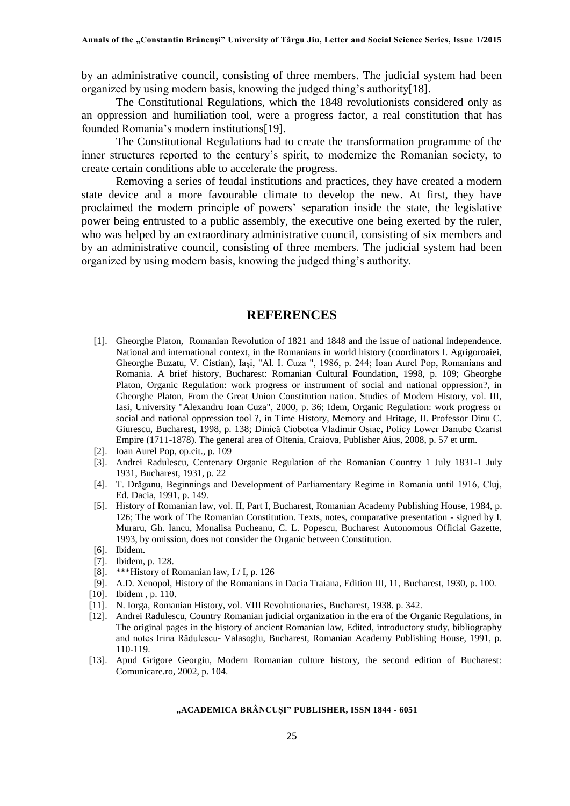by an administrative council, consisting of three members. The judicial system had been organized by using modern basis, knowing the judged thing's authority[18].

The Constitutional Regulations, which the 1848 revolutionists considered only as an oppression and humiliation tool, were a progress factor, a real constitution that has founded Romania's modern institutions[19].

The Constitutional Regulations had to create the transformation programme of the inner structures reported to the century's spirit, to modernize the Romanian society, to create certain conditions able to accelerate the progress.

Removing a series of feudal institutions and practices, they have created a modern state device and a more favourable climate to develop the new. At first, they have proclaimed the modern principle of powers' separation inside the state, the legislative power being entrusted to a public assembly, the executive one being exerted by the ruler, who was helped by an extraordinary administrative council, consisting of six members and by an administrative council, consisting of three members. The judicial system had been organized by using modern basis, knowing the judged thing's authority.

## **REFERENCES**

- [1]. Gheorghe Platon, Romanian Revolution of 1821 and 1848 and the issue of national independence. National and international context, in the Romanians in world history (coordinators I. Agrigoroaiei, Gheorghe Buzatu, V. Cistian), Iaşi, "Al. I. Cuza ", 1986, p. 244; Ioan Aurel Pop, Romanians and Romania. A brief history, Bucharest: Romanian Cultural Foundation, 1998, p. 109; Gheorghe Platon, Organic Regulation: work progress or instrument of social and national oppression?, in Gheorghe Platon, From the Great Union Constitution nation. Studies of Modern History, vol. III, Iasi, University "Alexandru Ioan Cuza", 2000, p. 36; Idem, Organic Regulation: work progress or social and national oppression tool ?, in Time History, Memory and Hritage, II. Professor Dinu C. Giurescu, Bucharest, 1998, p. 138; Dinică Ciobotea Vladimir Osiac, Policy Lower Danube Czarist Empire (1711-1878). The general area of Oltenia, Craiova, Publisher Aius, 2008, p. 57 et urm.
- [2]. Ioan Aurel Pop, op.cit., p. 109
- [3]. Andrei Radulescu, Centenary Organic Regulation of the Romanian Country 1 July 1831-1 July 1931, Bucharest, 1931, p. 22
- [4]. T. Drăganu, Beginnings and Development of Parliamentary Regime in Romania until 1916, Cluj, Ed. Dacia, 1991, p. 149.
- [5]. History of Romanian law, vol. II, Part I, Bucharest, Romanian Academy Publishing House, 1984, p. 126; The work of The Romanian Constitution. Texts, notes, comparative presentation - signed by I. Muraru, Gh. Iancu, Monalisa Pucheanu, C. L. Popescu, Bucharest Autonomous Official Gazette, 1993, by omission, does not consider the Organic between Constitution.
- [6]. Ibidem.
- [7]. Ibidem, p. 128.
- [8]. \*\*\*History of Romanian law, I / I, p. 126
- [9]. A.D. Xenopol, History of the Romanians in Dacia Traiana, Edition III, 11, Bucharest, 1930, p. 100.
- [10]. Ibidem , p. 110.
- [11]. N. Iorga, Romanian History, vol. VIII Revolutionaries, Bucharest, 1938. p. 342.
- [12]. Andrei Radulescu, Country Romanian judicial organization in the era of the Organic Regulations, in The original pages in the history of ancient Romanian law, Edited, introductory study, bibliography and notes Irina Rădulescu- Valasoglu, Bucharest, Romanian Academy Publishing House, 1991, p. 110-119.
- [13]. Apud Grigore Georgiu, Modern Romanian culture history, the second edition of Bucharest: Comunicare.ro, 2002, p. 104.

#### **"ACADEMICA BRÂNCUȘI" PUBLISHER, ISSN 1844 - 6051**